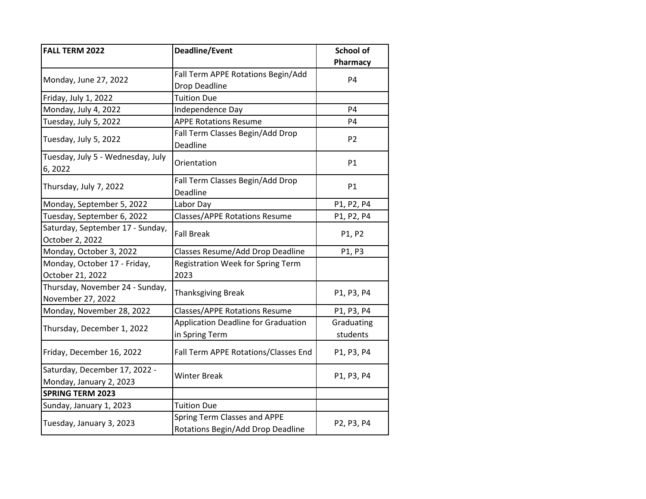| <b>FALL TERM 2022</b>                                    | <b>Deadline/Event</b>                                 | School of              |
|----------------------------------------------------------|-------------------------------------------------------|------------------------|
|                                                          |                                                       | Pharmacy               |
| Monday, June 27, 2022                                    | Fall Term APPE Rotations Begin/Add                    | <b>P4</b>              |
|                                                          | Drop Deadline                                         |                        |
| Friday, July 1, 2022                                     | <b>Tuition Due</b>                                    |                        |
| Monday, July 4, 2022                                     | Independence Day                                      | P <sub>4</sub>         |
| Tuesday, July 5, 2022                                    | <b>APPE Rotations Resume</b>                          | P4                     |
| Tuesday, July 5, 2022                                    | Fall Term Classes Begin/Add Drop<br>Deadline          | P <sub>2</sub>         |
| Tuesday, July 5 - Wednesday, July<br>6, 2022             | Orientation                                           | P1                     |
| Thursday, July 7, 2022                                   | Fall Term Classes Begin/Add Drop<br>Deadline          | <b>P1</b>              |
| Monday, September 5, 2022                                | Labor Day                                             | P1, P2, P4             |
| Tuesday, September 6, 2022                               | <b>Classes/APPE Rotations Resume</b>                  | P1, P2, P4             |
| Saturday, September 17 - Sunday,<br>October 2, 2022      | <b>Fall Break</b>                                     | P1, P2                 |
| Monday, October 3, 2022                                  | Classes Resume/Add Drop Deadline                      | P1, P3                 |
| Monday, October 17 - Friday,                             | <b>Registration Week for Spring Term</b>              |                        |
| October 21, 2022                                         | 2023                                                  |                        |
| Thursday, November 24 - Sunday,<br>November 27, 2022     | <b>Thanksgiving Break</b>                             | P1, P3, P4             |
| Monday, November 28, 2022                                | <b>Classes/APPE Rotations Resume</b>                  | P1, P3, P4             |
| Thursday, December 1, 2022                               | Application Deadline for Graduation<br>in Spring Term | Graduating<br>students |
| Friday, December 16, 2022                                | Fall Term APPE Rotations/Classes End                  | P1, P3, P4             |
| Saturday, December 17, 2022 -<br>Monday, January 2, 2023 | <b>Winter Break</b>                                   | P1, P3, P4             |
| <b>SPRING TERM 2023</b>                                  |                                                       |                        |
| Sunday, January 1, 2023                                  | <b>Tuition Due</b>                                    |                        |
|                                                          | Spring Term Classes and APPE                          | P2, P3, P4             |
| Tuesday, January 3, 2023                                 | Rotations Begin/Add Drop Deadline                     |                        |